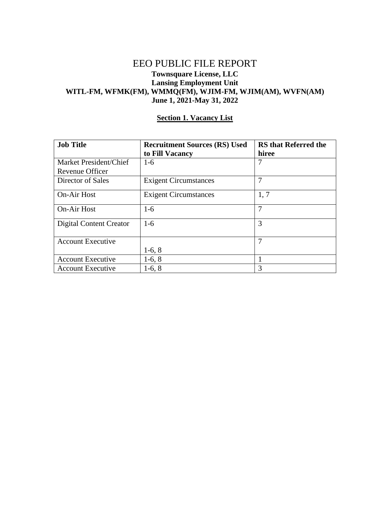## EEO PUBLIC FILE REPORT **Townsquare License, LLC Lansing Employment Unit WITL-FM, WFMK(FM), WMMQ(FM), WJIM-FM, WJIM(AM), WVFN(AM) June 1, 2021-May 31, 2022**

| <b>Job Title</b>                          | <b>Recruitment Sources (RS) Used</b><br>to Fill Vacancy | <b>RS</b> that Referred the<br>hiree |
|-------------------------------------------|---------------------------------------------------------|--------------------------------------|
| Market President/Chief<br>Revenue Officer | $1-6$                                                   | 7                                    |
| Director of Sales                         | <b>Exigent Circumstances</b>                            | 7                                    |
| <b>On-Air Host</b>                        | <b>Exigent Circumstances</b>                            | 1,7                                  |
| <b>On-Air Host</b>                        | $1-6$                                                   | 7                                    |
| <b>Digital Content Creator</b>            | $1-6$                                                   | 3                                    |
| <b>Account Executive</b>                  | $1-6, 8$                                                | 7                                    |
| <b>Account Executive</b>                  | $1-6, 8$                                                |                                      |
| <b>Account Executive</b>                  | $1-6, 8$                                                | 3                                    |

#### **Section 1. Vacancy List**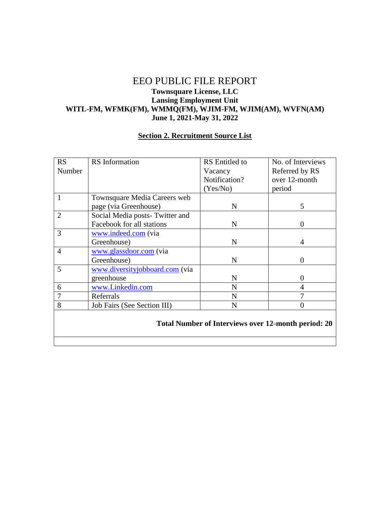## EEO PUBLIC FILE REPORT **Townsquare License, LLC Lansing Employment Unit WITL-FM, WFMK(FM), WMMQ(FM), WJIM-FM, WJIM(AM), WVFN(AM) June 1, 2021-May 31, 2022**

# **Section 2. Recruitment Source List**

| <b>RS</b>                                                  | <b>RS</b> Information          | <b>RS</b> Entitled to | No. of Interviews |  |
|------------------------------------------------------------|--------------------------------|-----------------------|-------------------|--|
| Number                                                     |                                | Vacancy               | Referred by RS    |  |
|                                                            |                                | Notification?         | over 12-month     |  |
|                                                            |                                | (Yes/No)              | period            |  |
| 1                                                          | Townsquare Media Careers web   |                       |                   |  |
|                                                            | page (via Greenhouse)          | N                     | 5                 |  |
| $\overline{2}$                                             | Social Media posts-Twitter and |                       |                   |  |
|                                                            | Facebook for all stations      | $\mathbf N$           | 0                 |  |
| 3                                                          | www.indeed.com (via            |                       |                   |  |
|                                                            | Greenhouse)                    | N                     | 4                 |  |
| $\overline{4}$                                             | www.glassdoor.com (via         |                       |                   |  |
|                                                            | Greenhouse)                    | $\mathbf N$           | 0                 |  |
| 5                                                          | www.diversityjobboard.com (via |                       |                   |  |
|                                                            | greenhouse                     | N                     | 0                 |  |
| 6                                                          | www.Linkedin.com               | N                     | 4                 |  |
| $\overline{7}$                                             | Referrals                      | N                     | 7                 |  |
| 8                                                          | Job Fairs (See Section III)    | N                     | $\Omega$          |  |
|                                                            |                                |                       |                   |  |
| <b>Total Number of Interviews over 12-month period: 20</b> |                                |                       |                   |  |
|                                                            |                                |                       |                   |  |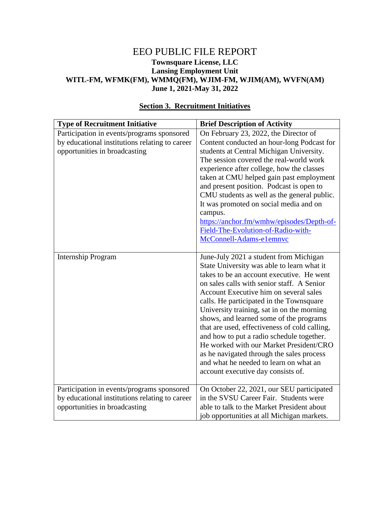### EEO PUBLIC FILE REPORT **Townsquare License, LLC Lansing Employment Unit WITL-FM, WFMK(FM), WMMQ(FM), WJIM-FM, WJIM(AM), WVFN(AM) June 1, 2021-May 31, 2022**

| On February 23, 2022, the Director of<br>Participation in events/programs sponsored<br>by educational institutions relating to career<br>Content conducted an hour-long Podcast for<br>opportunities in broadcasting<br>students at Central Michigan University.<br>The session covered the real-world work<br>experience after college, how the classes<br>taken at CMU helped gain past employment<br>and present position. Podcast is open to<br>CMU students as well as the general public.<br>It was promoted on social media and on<br>campus.<br>https://anchor.fm/wmhw/episodes/Depth-of-<br>Field-The-Evolution-of-Radio-with-<br>McConnell-Adams-e1emnvc<br>June-July 2021 a student from Michigan<br><b>Internship Program</b><br>State University was able to learn what it<br>takes to be an account executive. He went<br>on sales calls with senior staff. A Senior<br>Account Executive him on several sales<br>calls. He participated in the Townsquare<br>University training, sat in on the morning<br>shows, and learned some of the programs<br>that are used, effectiveness of cold calling,<br>and how to put a radio schedule together.<br>He worked with our Market President/CRO | <b>Type of Recruitment Initiative</b> | <b>Brief Description of Activity</b>      |
|------------------------------------------------------------------------------------------------------------------------------------------------------------------------------------------------------------------------------------------------------------------------------------------------------------------------------------------------------------------------------------------------------------------------------------------------------------------------------------------------------------------------------------------------------------------------------------------------------------------------------------------------------------------------------------------------------------------------------------------------------------------------------------------------------------------------------------------------------------------------------------------------------------------------------------------------------------------------------------------------------------------------------------------------------------------------------------------------------------------------------------------------------------------------------------------------------------|---------------------------------------|-------------------------------------------|
|                                                                                                                                                                                                                                                                                                                                                                                                                                                                                                                                                                                                                                                                                                                                                                                                                                                                                                                                                                                                                                                                                                                                                                                                            |                                       |                                           |
|                                                                                                                                                                                                                                                                                                                                                                                                                                                                                                                                                                                                                                                                                                                                                                                                                                                                                                                                                                                                                                                                                                                                                                                                            |                                       |                                           |
|                                                                                                                                                                                                                                                                                                                                                                                                                                                                                                                                                                                                                                                                                                                                                                                                                                                                                                                                                                                                                                                                                                                                                                                                            |                                       |                                           |
|                                                                                                                                                                                                                                                                                                                                                                                                                                                                                                                                                                                                                                                                                                                                                                                                                                                                                                                                                                                                                                                                                                                                                                                                            |                                       |                                           |
|                                                                                                                                                                                                                                                                                                                                                                                                                                                                                                                                                                                                                                                                                                                                                                                                                                                                                                                                                                                                                                                                                                                                                                                                            |                                       |                                           |
|                                                                                                                                                                                                                                                                                                                                                                                                                                                                                                                                                                                                                                                                                                                                                                                                                                                                                                                                                                                                                                                                                                                                                                                                            |                                       |                                           |
|                                                                                                                                                                                                                                                                                                                                                                                                                                                                                                                                                                                                                                                                                                                                                                                                                                                                                                                                                                                                                                                                                                                                                                                                            |                                       |                                           |
|                                                                                                                                                                                                                                                                                                                                                                                                                                                                                                                                                                                                                                                                                                                                                                                                                                                                                                                                                                                                                                                                                                                                                                                                            |                                       |                                           |
|                                                                                                                                                                                                                                                                                                                                                                                                                                                                                                                                                                                                                                                                                                                                                                                                                                                                                                                                                                                                                                                                                                                                                                                                            |                                       |                                           |
|                                                                                                                                                                                                                                                                                                                                                                                                                                                                                                                                                                                                                                                                                                                                                                                                                                                                                                                                                                                                                                                                                                                                                                                                            |                                       |                                           |
|                                                                                                                                                                                                                                                                                                                                                                                                                                                                                                                                                                                                                                                                                                                                                                                                                                                                                                                                                                                                                                                                                                                                                                                                            |                                       |                                           |
|                                                                                                                                                                                                                                                                                                                                                                                                                                                                                                                                                                                                                                                                                                                                                                                                                                                                                                                                                                                                                                                                                                                                                                                                            |                                       |                                           |
|                                                                                                                                                                                                                                                                                                                                                                                                                                                                                                                                                                                                                                                                                                                                                                                                                                                                                                                                                                                                                                                                                                                                                                                                            |                                       |                                           |
|                                                                                                                                                                                                                                                                                                                                                                                                                                                                                                                                                                                                                                                                                                                                                                                                                                                                                                                                                                                                                                                                                                                                                                                                            |                                       |                                           |
|                                                                                                                                                                                                                                                                                                                                                                                                                                                                                                                                                                                                                                                                                                                                                                                                                                                                                                                                                                                                                                                                                                                                                                                                            |                                       |                                           |
|                                                                                                                                                                                                                                                                                                                                                                                                                                                                                                                                                                                                                                                                                                                                                                                                                                                                                                                                                                                                                                                                                                                                                                                                            |                                       |                                           |
|                                                                                                                                                                                                                                                                                                                                                                                                                                                                                                                                                                                                                                                                                                                                                                                                                                                                                                                                                                                                                                                                                                                                                                                                            |                                       |                                           |
|                                                                                                                                                                                                                                                                                                                                                                                                                                                                                                                                                                                                                                                                                                                                                                                                                                                                                                                                                                                                                                                                                                                                                                                                            |                                       |                                           |
|                                                                                                                                                                                                                                                                                                                                                                                                                                                                                                                                                                                                                                                                                                                                                                                                                                                                                                                                                                                                                                                                                                                                                                                                            |                                       |                                           |
|                                                                                                                                                                                                                                                                                                                                                                                                                                                                                                                                                                                                                                                                                                                                                                                                                                                                                                                                                                                                                                                                                                                                                                                                            |                                       |                                           |
|                                                                                                                                                                                                                                                                                                                                                                                                                                                                                                                                                                                                                                                                                                                                                                                                                                                                                                                                                                                                                                                                                                                                                                                                            |                                       |                                           |
|                                                                                                                                                                                                                                                                                                                                                                                                                                                                                                                                                                                                                                                                                                                                                                                                                                                                                                                                                                                                                                                                                                                                                                                                            |                                       |                                           |
|                                                                                                                                                                                                                                                                                                                                                                                                                                                                                                                                                                                                                                                                                                                                                                                                                                                                                                                                                                                                                                                                                                                                                                                                            |                                       |                                           |
|                                                                                                                                                                                                                                                                                                                                                                                                                                                                                                                                                                                                                                                                                                                                                                                                                                                                                                                                                                                                                                                                                                                                                                                                            |                                       |                                           |
|                                                                                                                                                                                                                                                                                                                                                                                                                                                                                                                                                                                                                                                                                                                                                                                                                                                                                                                                                                                                                                                                                                                                                                                                            |                                       |                                           |
|                                                                                                                                                                                                                                                                                                                                                                                                                                                                                                                                                                                                                                                                                                                                                                                                                                                                                                                                                                                                                                                                                                                                                                                                            |                                       | as he navigated through the sales process |
| and what he needed to learn on what an                                                                                                                                                                                                                                                                                                                                                                                                                                                                                                                                                                                                                                                                                                                                                                                                                                                                                                                                                                                                                                                                                                                                                                     |                                       |                                           |
| account executive day consists of.                                                                                                                                                                                                                                                                                                                                                                                                                                                                                                                                                                                                                                                                                                                                                                                                                                                                                                                                                                                                                                                                                                                                                                         |                                       |                                           |
|                                                                                                                                                                                                                                                                                                                                                                                                                                                                                                                                                                                                                                                                                                                                                                                                                                                                                                                                                                                                                                                                                                                                                                                                            |                                       |                                           |
| On October 22, 2021, our SEU participated<br>Participation in events/programs sponsored<br>in the SVSU Career Fair. Students were                                                                                                                                                                                                                                                                                                                                                                                                                                                                                                                                                                                                                                                                                                                                                                                                                                                                                                                                                                                                                                                                          |                                       |                                           |
| by educational institutions relating to career<br>opportunities in broadcasting<br>able to talk to the Market President about                                                                                                                                                                                                                                                                                                                                                                                                                                                                                                                                                                                                                                                                                                                                                                                                                                                                                                                                                                                                                                                                              |                                       |                                           |
| job opportunities at all Michigan markets.                                                                                                                                                                                                                                                                                                                                                                                                                                                                                                                                                                                                                                                                                                                                                                                                                                                                                                                                                                                                                                                                                                                                                                 |                                       |                                           |

## **Section 3. Recruitment Initiatives**